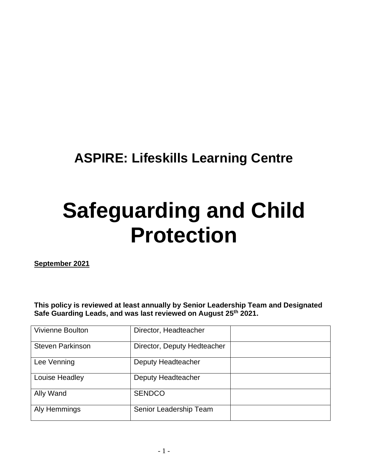# **ASPIRE: Lifeskills Learning Centre**

# **Safeguarding and Child Protection**

**September 2021**

**This policy is reviewed at least annually by Senior Leadership Team and Designated Safe Guarding Leads, and was last reviewed on August 25th 2021.** 

| <b>Vivienne Boulton</b> | Director, Headteacher       |  |
|-------------------------|-----------------------------|--|
| <b>Steven Parkinson</b> | Director, Deputy Hedteacher |  |
| Lee Venning             | Deputy Headteacher          |  |
| Louise Headley          | Deputy Headteacher          |  |
| Ally Wand               | <b>SENDCO</b>               |  |
| Aly Hemmings            | Senior Leadership Team      |  |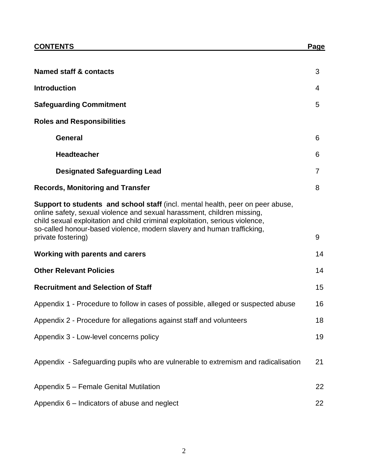| <b>Named staff &amp; contacts</b>                                                                                                                                                                                                                                                                                   | 3  |
|---------------------------------------------------------------------------------------------------------------------------------------------------------------------------------------------------------------------------------------------------------------------------------------------------------------------|----|
| <b>Introduction</b>                                                                                                                                                                                                                                                                                                 | 4  |
| <b>Safeguarding Commitment</b>                                                                                                                                                                                                                                                                                      | 5  |
| <b>Roles and Responsibilities</b>                                                                                                                                                                                                                                                                                   |    |
| <b>General</b>                                                                                                                                                                                                                                                                                                      | 6  |
| <b>Headteacher</b>                                                                                                                                                                                                                                                                                                  | 6  |
| <b>Designated Safeguarding Lead</b>                                                                                                                                                                                                                                                                                 | 7  |
| <b>Records, Monitoring and Transfer</b>                                                                                                                                                                                                                                                                             | 8  |
| Support to students and school staff (incl. mental health, peer on peer abuse,<br>online safety, sexual violence and sexual harassment, children missing,<br>child sexual exploitation and child criminal exploitation, serious violence,<br>so-called honour-based violence, modern slavery and human trafficking, |    |
| private fostering)                                                                                                                                                                                                                                                                                                  | 9  |
| <b>Working with parents and carers</b>                                                                                                                                                                                                                                                                              | 14 |
| <b>Other Relevant Policies</b>                                                                                                                                                                                                                                                                                      | 14 |
| <b>Recruitment and Selection of Staff</b>                                                                                                                                                                                                                                                                           | 15 |
| Appendix 1 - Procedure to follow in cases of possible, alleged or suspected abuse                                                                                                                                                                                                                                   | 16 |
| Appendix 2 - Procedure for allegations against staff and volunteers                                                                                                                                                                                                                                                 | 18 |
| Appendix 3 - Low-level concerns policy                                                                                                                                                                                                                                                                              | 19 |
| Appendix - Safeguarding pupils who are vulnerable to extremism and radicalisation                                                                                                                                                                                                                                   | 21 |
| Appendix 5 - Female Genital Mutilation                                                                                                                                                                                                                                                                              | 22 |
| Appendix 6 - Indicators of abuse and neglect                                                                                                                                                                                                                                                                        |    |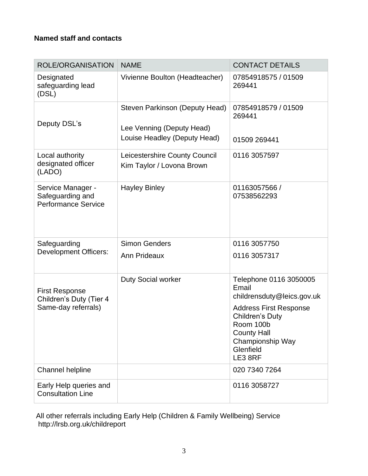# **Named staff and contacts**

| <b>ROLE/ORGANISATION</b>                                                | <b>NAME</b>                                                                                 | <b>CONTACT DETAILS</b>                                                                                                                                                                                  |
|-------------------------------------------------------------------------|---------------------------------------------------------------------------------------------|---------------------------------------------------------------------------------------------------------------------------------------------------------------------------------------------------------|
| Designated<br>safeguarding lead<br>(DSL)                                | Vivienne Boulton (Headteacher)                                                              | 07854918575 / 01509<br>269441                                                                                                                                                                           |
| Deputy DSL's                                                            | Steven Parkinson (Deputy Head)<br>Lee Venning (Deputy Head)<br>Louise Headley (Deputy Head) | 07854918579 / 01509<br>269441<br>01509 269441                                                                                                                                                           |
| Local authority<br>designated officer<br>(LADO)                         | Leicestershire County Council<br>Kim Taylor / Lovona Brown                                  | 0116 3057597                                                                                                                                                                                            |
| Service Manager -<br>Safeguarding and<br><b>Performance Service</b>     | <b>Hayley Binley</b>                                                                        | 01163057566 /<br>07538562293                                                                                                                                                                            |
| Safeguarding<br><b>Development Officers:</b>                            | <b>Simon Genders</b><br><b>Ann Prideaux</b>                                                 | 0116 3057750<br>0116 3057317                                                                                                                                                                            |
| <b>First Response</b><br>Children's Duty (Tier 4<br>Same-day referrals) | <b>Duty Social worker</b>                                                                   | Telephone 0116 3050005<br>Email<br>childrensduty@leics.gov.uk<br><b>Address First Response</b><br><b>Children's Duty</b><br>Room 100b<br><b>County Hall</b><br>Championship Way<br>Glenfield<br>LE3 8RF |
| <b>Channel helpline</b>                                                 |                                                                                             | 020 7340 7264                                                                                                                                                                                           |
| Early Help queries and<br><b>Consultation Line</b>                      |                                                                                             | 0116 3058727                                                                                                                                                                                            |

 All other referrals including Early Help (Children & Family Wellbeing) Service http://lrsb.org.uk/childreport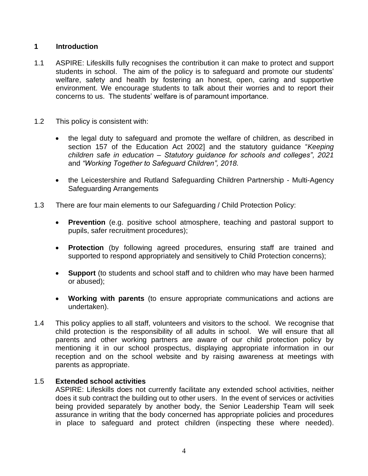#### **1 Introduction**

- 1.1 ASPIRE: Lifeskills fully recognises the contribution it can make to protect and support students in school. The aim of the policy is to safeguard and promote our students' welfare, safety and health by fostering an honest, open, caring and supportive environment. We encourage students to talk about their worries and to report their concerns to us. The students' welfare is of paramount importance.
- 1.2 This policy is consistent with:
	- the legal duty to safeguard and promote the welfare of children, as described in section 157 of the Education Act 2002] and the statutory guidance "*Keeping children safe in education – Statutory guidance for schools and colleges", 2021* and *"Working Together to Safeguard Children", 2018.*
	- the Leicestershire and Rutland Safeguarding Children Partnership Multi-Agency Safeguarding Arrangements
- 1.3 There are four main elements to our Safeguarding / Child Protection Policy:
	- **Prevention** (e.g. positive school atmosphere, teaching and pastoral support to pupils, safer recruitment procedures);
	- **Protection** (by following agreed procedures, ensuring staff are trained and supported to respond appropriately and sensitively to Child Protection concerns);
	- **Support** (to students and school staff and to children who may have been harmed or abused);
	- **Working with parents** (to ensure appropriate communications and actions are undertaken).
- 1.4 This policy applies to all staff, volunteers and visitors to the school. We recognise that child protection is the responsibility of all adults in school. We will ensure that all parents and other working partners are aware of our child protection policy by mentioning it in our school prospectus, displaying appropriate information in our reception and on the school website and by raising awareness at meetings with parents as appropriate.

#### 1.5 **Extended school activities**

ASPIRE: Lifeskills does not currently facilitate any extended school activities, neither does it sub contract the building out to other users. In the event of services or activities being provided separately by another body, the Senior Leadership Team will seek assurance in writing that the body concerned has appropriate policies and procedures in place to safeguard and protect children (inspecting these where needed).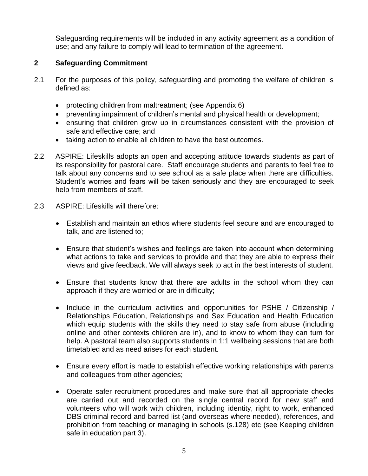Safeguarding requirements will be included in any activity agreement as a condition of use; and any failure to comply will lead to termination of the agreement.

# **2 Safeguarding Commitment**

- 2.1 For the purposes of this policy, safeguarding and promoting the welfare of children is defined as:
	- protecting children from maltreatment; (see Appendix 6)
	- preventing impairment of children's mental and physical health or development;
	- ensuring that children grow up in circumstances consistent with the provision of safe and effective care; and
	- taking action to enable all children to have the best outcomes.
- 2.2 ASPIRE: Lifeskills adopts an open and accepting attitude towards students as part of its responsibility for pastoral care. Staff encourage students and parents to feel free to talk about any concerns and to see school as a safe place when there are difficulties. Student's worries and fears will be taken seriously and they are encouraged to seek help from members of staff.
- 2.3 ASPIRE: Lifeskills will therefore:
	- Establish and maintain an ethos where students feel secure and are encouraged to talk, and are listened to;
	- Ensure that student's wishes and feelings are taken into account when determining what actions to take and services to provide and that they are able to express their views and give feedback. We will always seek to act in the best interests of student.
	- Ensure that students know that there are adults in the school whom they can approach if they are worried or are in difficulty;
	- Include in the curriculum activities and opportunities for PSHE / Citizenship / Relationships Education, Relationships and Sex Education and Health Education which equip students with the skills they need to stay safe from abuse (including online and other contexts children are in), and to know to whom they can turn for help. A pastoral team also supports students in 1:1 wellbeing sessions that are both timetabled and as need arises for each student.
	- Ensure every effort is made to establish effective working relationships with parents and colleagues from other agencies;
	- Operate safer recruitment procedures and make sure that all appropriate checks are carried out and recorded on the single central record for new staff and volunteers who will work with children, including identity, right to work, enhanced DBS criminal record and barred list (and overseas where needed), references, and prohibition from teaching or managing in schools (s.128) etc (see Keeping children safe in education part 3).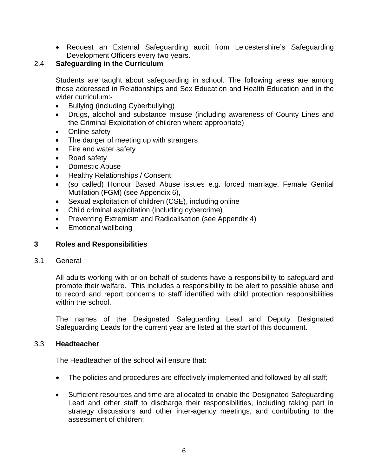• Request an External Safeguarding audit from Leicestershire's Safeguarding Development Officers every two years.

# 2.4 **Safeguarding in the Curriculum**

Students are taught about safeguarding in school. The following areas are among those addressed in Relationships and Sex Education and Health Education and in the wider curriculum:-

- Bullying (including Cyberbullying)
- Drugs, alcohol and substance misuse (including awareness of County Lines and the Criminal Exploitation of children where appropriate)
- Online safety
- The danger of meeting up with strangers
- Fire and water safety
- Road safety
- Domestic Abuse
- Healthy Relationships / Consent
- (so called) Honour Based Abuse issues e.g. forced marriage, Female Genital Mutilation (FGM) (see Appendix 6),
- Sexual exploitation of children (CSE), including online
- Child criminal exploitation (including cybercrime)
- Preventing Extremism and Radicalisation (see Appendix 4)
- Emotional wellbeing

#### **3 Roles and Responsibilities**

3.1 General

All adults working with or on behalf of students have a responsibility to safeguard and promote their welfare. This includes a responsibility to be alert to possible abuse and to record and report concerns to staff identified with child protection responsibilities within the school.

The names of the Designated Safeguarding Lead and Deputy Designated Safeguarding Leads for the current year are listed at the start of this document.

#### 3.3 **Headteacher**

The Headteacher of the school will ensure that:

- The policies and procedures are effectively implemented and followed by all staff;
- Sufficient resources and time are allocated to enable the Designated Safeguarding Lead and other staff to discharge their responsibilities, including taking part in strategy discussions and other inter-agency meetings, and contributing to the assessment of children;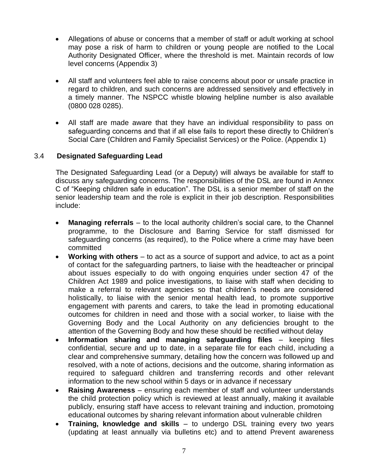- Allegations of abuse or concerns that a member of staff or adult working at school may pose a risk of harm to children or young people are notified to the Local Authority Designated Officer, where the threshold is met. Maintain records of low level concerns (Appendix 3)
- All staff and volunteers feel able to raise concerns about poor or unsafe practice in regard to children, and such concerns are addressed sensitively and effectively in a timely manner. The NSPCC whistle blowing helpline number is also available (0800 028 0285).
- All staff are made aware that they have an individual responsibility to pass on safeguarding concerns and that if all else fails to report these directly to Children's Social Care (Children and Family Specialist Services) or the Police. (Appendix 1)

# 3.4 **Designated Safeguarding Lead**

The Designated Safeguarding Lead (or a Deputy) will always be available for staff to discuss any safeguarding concerns. The responsibilities of the DSL are found in Annex C of "Keeping children safe in education". The DSL is a senior member of staff on the senior leadership team and the role is explicit in their job description. Responsibilities include:

- **Managing referrals** to the local authority children's social care, to the Channel programme, to the Disclosure and Barring Service for staff dismissed for safeguarding concerns (as required), to the Police where a crime may have been committed
- **Working with others** to act as a source of support and advice, to act as a point of contact for the safeguarding partners, to liaise with the headteacher or principal about issues especially to do with ongoing enquiries under section 47 of the Children Act 1989 and police investigations, to liaise with staff when deciding to make a referral to relevant agencies so that children's needs are considered holistically, to liaise with the senior mental health lead, to promote supportive engagement with parents and carers, to take the lead in promoting educational outcomes for children in need and those with a social worker, to liaise with the Governing Body and the Local Authority on any deficiencies brought to the attention of the Governing Body and how these should be rectified without delay
- **Information sharing and managing safeguarding files** keeping files confidential, secure and up to date, in a separate file for each child, including a clear and comprehensive summary, detailing how the concern was followed up and resolved, with a note of actions, decisions and the outcome, sharing information as required to safeguard children and transferring records and other relevant information to the new school within 5 days or in advance if necessary
- **Raising Awareness** ensuring each member of staff and volunteer understands the child protection policy which is reviewed at least annually, making it available publicly, ensuring staff have access to relevant training and induction, promotoing educational outcomes by sharing relevant information about vulnerable children
- **Training, knowledge and skills**  to undergo DSL training every two years (updating at least annually via bulletins etc) and to attend Prevent awareness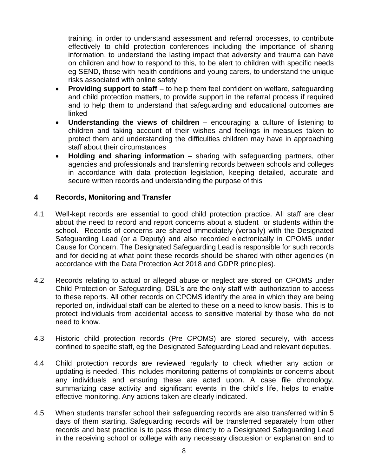training, in order to understand assessment and referral processes, to contribute effectively to child protection conferences including the importance of sharing information, to understand the lasting impact that adversity and trauma can have on children and how to respond to this, to be alert to children with specific needs eg SEND, those with health conditions and young carers, to understand the unique risks associated with online safety

- **Providing support to staff** to help them feel confident on welfare, safeguarding and child protection matters, to provide support in the referral process if required and to help them to understand that safeguarding and educational outcomes are linked
- **Understanding the views of children**  encouraging a culture of listening to children and taking account of their wishes and feelings in measues taken to protect them and understanding the difficulties children may have in approaching staff about their circumstances
- **Holding and sharing information** sharing with safeguarding partners, other agencies and professionals and transferring records between schools and colleges in accordance with data protection legislation, keeping detailed, accurate and secure written records and understanding the purpose of this

#### **4 Records, Monitoring and Transfer**

- 4.1 Well-kept records are essential to good child protection practice. All staff are clear about the need to record and report concerns about a student or students within the school. Records of concerns are shared immediately (verbally) with the Designated Safeguarding Lead (or a Deputy) and also recorded electronically in CPOMS under Cause for Concern. The Designated Safeguarding Lead is responsible for such records and for deciding at what point these records should be shared with other agencies (in accordance with the Data Protection Act 2018 and GDPR principles).
- 4.2 Records relating to actual or alleged abuse or neglect are stored on CPOMS under Child Protection or Safeguarding. DSL's are the only staff with authorization to access to these reports. All other records on CPOMS identify the area in which they are being reported on, individual staff can be alerted to these on a need to know basis. This is to protect individuals from accidental access to sensitive material by those who do not need to know.
- 4.3 Historic child protection records (Pre CPOMS) are stored securely, with access confined to specific staff, eg the Designated Safeguarding Lead and relevant deputies.
- 4.4 Child protection records are reviewed regularly to check whether any action or updating is needed. This includes monitoring patterns of complaints or concerns about any individuals and ensuring these are acted upon. A case file chronology, summarizing case activity and significant events in the child's life, helps to enable effective monitoring. Any actions taken are clearly indicated.
- 4.5 When students transfer school their safeguarding records are also transferred within 5 days of them starting. Safeguarding records will be transferred separately from other records and best practice is to pass these directly to a Designated Safeguarding Lead in the receiving school or college with any necessary discussion or explanation and to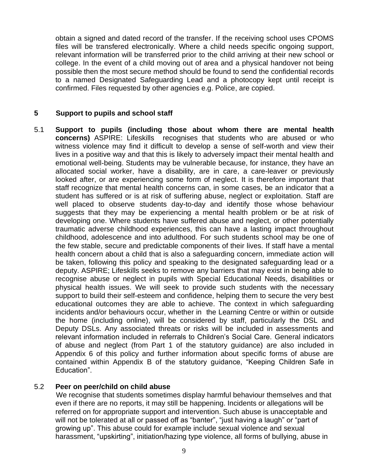obtain a signed and dated record of the transfer. If the receiving school uses CPOMS files will be transfered electronically. Where a child needs specific ongoing support, relevant information will be transferred prior to the child arriving at their new school or college. In the event of a child moving out of area and a physical handover not being possible then the most secure method should be found to send the confidential records to a named Designated Safeguarding Lead and a photocopy kept until receipt is confirmed. Files requested by other agencies e.g. Police, are copied.

#### **5 Support to pupils and school staff**

5.1 **Support to pupils (including those about whom there are mental health concerns)** ASPIRE: Lifeskills recognises that students who are abused or who witness violence may find it difficult to develop a sense of self-worth and view their lives in a positive way and that this is likely to adversely impact their mental health and emotional well-being. Students may be vulnerable because, for instance, they have an allocated social worker, have a disability, are in care, a care-leaver or previously looked after, or are experiencing some form of neglect. It is therefore important that staff recognize that mental health concerns can, in some cases, be an indicator that a student has suffered or is at risk of suffering abuse, neglect or exploitation. Staff are well placed to observe students day-to-day and identify those whose behaviour suggests that they may be experiencing a mental health problem or be at risk of developing one. Where students have suffered abuse and neglect, or other potentially traumatic adverse childhood experiences, this can have a lasting impact throughout childhood, adolescence and into adulthood. For such students school may be one of the few stable, secure and predictable components of their lives. If staff have a mental health concern about a child that is also a safeguarding concern, immediate action will be taken, following this policy and speaking to the designated safeguarding lead or a deputy. ASPIRE; Lifeskills seeks to remove any barriers that may exist in being able to recognise abuse or neglect in pupils with Special Educational Needs, disabilities or physical health issues. We will seek to provide such students with the necessary support to build their self-esteem and confidence, helping them to secure the very best educational outcomes they are able to achieve. The context in which safeguarding incidents and/or behaviours occur, whether in the Learning Centre or within or outside the home (including online), will be considered by staff, particularly the DSL and Deputy DSLs. Any associated threats or risks will be included in assessments and relevant information included in referrals to Children's Social Care. General indicators of abuse and neglect (from Part 1 of the statutory guidance) are also included in Appendix 6 of this policy and further information about specific forms of abuse are contained within Appendix B of the statutory guidance, "Keeping Children Safe in Education".

#### 5.2 **Peer on peer/child on child abuse**

 We recognise that students sometimes display harmful behaviour themselves and that even if there are no reports, it may still be happening. Incidents or allegations will be referred on for appropriate support and intervention. Such abuse is unacceptable and will not be tolerated at all or passed off as "banter", "just having a laugh" or "part of growing up". This abuse could for example include sexual violence and sexual harassment, "upskirting", initiation/hazing type violence, all forms of bullying, abuse in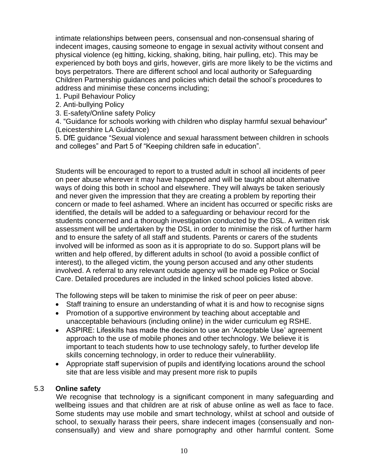intimate relationships between peers, consensual and non-consensual sharing of indecent images, causing someone to engage in sexual activity without consent and physical violence (eg hitting, kicking, shaking, biting, hair pulling, etc). This may be experienced by both boys and girls, however, girls are more likely to be the victims and boys perpetrators. There are different school and local authority or Safeguarding Children Partnership guidances and policies which detail the school's procedures to address and minimise these concerns including;

- 1. Pupil Behaviour Policy
- 2. Anti-bullying Policy
- 3. E-safety/Online safety Policy

4. "Guidance for schools working with children who display harmful sexual behaviour" (Leicestershire LA Guidance)

5. DfE guidance "Sexual violence and sexual harassment between children in schools and colleges" and Part 5 of "Keeping children safe in education".

Students will be encouraged to report to a trusted adult in school all incidents of peer on peer abuse wherever it may have happened and will be taught about alternative ways of doing this both in school and elsewhere. They will always be taken seriously and never given the impression that they are creating a problem by reporting their concern or made to feel ashamed. Where an incident has occurred or specific risks are identified, the details will be added to a safeguarding or behaviour record for the students concerned and a thorough investigation conducted by the DSL. A written risk assessment will be undertaken by the DSL in order to minimise the risk of further harm and to ensure the safety of all staff and students. Parents or carers of the students involved will be informed as soon as it is appropriate to do so. Support plans will be written and help offered, by different adults in school (to avoid a possible conflict of interest), to the alleged victim, the young person accused and any other students involved. A referral to any relevant outside agency will be made eg Police or Social Care. Detailed procedures are included in the linked school policies listed above.

The following steps will be taken to minimise the risk of peer on peer abuse:

- Staff training to ensure an understanding of what it is and how to recognise signs
- Promotion of a supportive environment by teaching about acceptable and unacceptable behaviours (including online) in the wider curriculum eg RSHE.
- ASPIRE: Lifeskills has made the decision to use an 'Acceptable Use' agreement approach to the use of mobile phones and other technology. We believe it is important to teach students how to use technology safely, to further develop life skills concerning technology, in order to reduce their vulnerablility.
- Appropriate staff supervision of pupils and identifying locations around the school site that are less visible and may present more risk to pupils

#### 5.3 **Online safety**

We recognise that technology is a significant component in many safeguarding and wellbeing issues and that children are at risk of abuse online as well as face to face. Some students may use mobile and smart technology, whilst at school and outside of school, to sexually harass their peers, share indecent images (consensually and nonconsensually) and view and share pornography and other harmful content. Some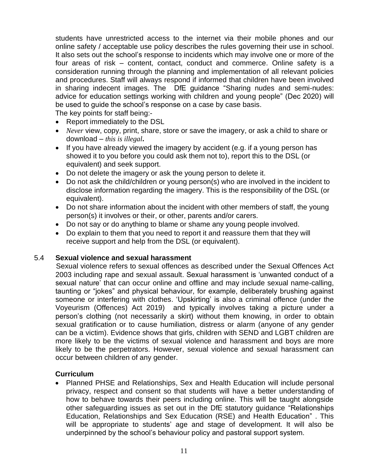students have unrestricted access to the internet via their mobile phones and our online safety / acceptable use policy describes the rules governing their use in school. It also sets out the school's response to incidents which may involve one or more of the four areas of risk – content, contact, conduct and commerce. Online safety is a consideration running through the planning and implementation of all relevant policies and procedures. Staff will always respond if informed that children have been involved in sharing indecent images. The DfE guidance "Sharing nudes and semi-nudes: advice for education settings working with children and young people" (Dec 2020) will be used to guide the school's response on a case by case basis.

The key points for staff being:-

- Report immediately to the DSL
- *Never* view, copy, print, share, store or save the imagery, or ask a child to share or download – *this is illegal***.**
- If you have already viewed the imagery by accident (e.g. if a young person has showed it to you before you could ask them not to), report this to the DSL (or equivalent) and seek support.
- Do not delete the imagery or ask the young person to delete it.
- Do not ask the child/children or young person(s) who are involved in the incident to disclose information regarding the imagery. This is the responsibility of the DSL (or equivalent).
- Do not share information about the incident with other members of staff, the young person(s) it involves or their, or other, parents and/or carers.
- Do not say or do anything to blame or shame any young people involved.
- Do explain to them that you need to report it and reassure them that they will receive support and help from the DSL (or equivalent).

#### 5.4 **Sexual violence and sexual harassment**

 Sexual violence refers to sexual offences as described under the Sexual Offences Act 2003 including rape and sexual assault. Sexual harassment is 'unwanted conduct of a sexual nature' that can occur online and offline and may include sexual name-calling, taunting or "jokes" and physical behaviour, for example, deliberately brushing against someone or interfering with clothes. 'Upskirting' is also a criminal offence (under the Voyeurism (Offences) Act 2019) and typically involves taking a picture under a person's clothing (not necessarily a skirt) without them knowing, in order to obtain sexual gratification or to cause humiliation, distress or alarm (anyone of any gender can be a victim). Evidence shows that girls, children with SEND and LGBT children are more likely to be the victims of sexual violence and harassment and boys are more likely to be the perpetrators. However, sexual violence and sexual harassment can occur between children of any gender.

#### **Curriculum**

• Planned PHSE and Relationships, Sex and Health Education will include personal privacy, respect and consent so that students will have a better understanding of how to behave towards their peers including online. This will be taught alongside other safeguarding issues as set out in the DfE statutory guidance "Relationships Education, Relationships and Sex Education (RSE) and Health Education" . This will be appropriate to students' age and stage of development. It will also be underpinned by the school's behaviour policy and pastoral support system.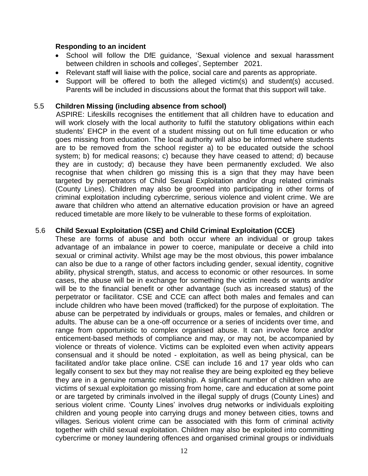#### **Responding to an incident**

- School will follow the DfE guidance, 'Sexual violence and sexual harassment between children in schools and colleges', September 2021.
- Relevant staff will liaise with the police, social care and parents as appropriate.
- Support will be offered to both the alleged victim(s) and student(s) accused. Parents will be included in discussions about the format that this support will take.

#### 5.5 **Children Missing (including absence from school)**

 ASPIRE: Lifeskills recognises the entitlement that all children have to education and will work closely with the local authority to fulfil the statutory obligations within each students' EHCP in the event of a student missing out on full time education or who goes missing from education. The local authority will also be informed where students are to be removed from the school register a) to be educated outside the school system; b) for medical reasons; c) because they have ceased to attend; d) because they are in custody; d) because they have been permanently excluded. We also recognise that when children go missing this is a sign that they may have been targeted by perpetrators of Child Sexual Exploitation and/or drug related criminals (County Lines). Children may also be groomed into participating in other forms of criminal exploitation including cybercrime, serious violence and violent crime. We are aware that children who attend an alternative education provision or have an agreed reduced timetable are more likely to be vulnerable to these forms of exploitation.

#### 5.6 **Child Sexual Exploitation (CSE) and Child Criminal Exploitation (CCE)**

 These are forms of abuse and both occur where an individual or group takes advantage of an imbalance in power to coerce, manipulate or deceive a child into sexual or criminal activity. Whilst age may be the most obvious, this power imbalance can also be due to a range of other factors including gender, sexual identity, cognitive ability, physical strength, status, and access to economic or other resources. In some cases, the abuse will be in exchange for something the victim needs or wants and/or will be to the financial benefit or other advantage (such as increased status) of the perpetrator or facilitator. CSE and CCE can affect both males and females and can include children who have been moved (trafficked) for the purpose of exploitation. The abuse can be perpetrated by individuals or groups, males or females, and children or adults. The abuse can be a one-off occurrence or a series of incidents over time, and range from opportunistic to complex organised abuse. It can involve force and/or enticement-based methods of compliance and may, or may not, be accompanied by violence or threats of violence. Victims can be exploited even when activity appears consensual and it should be noted - exploitation, as well as being physical, can be facilitated and/or take place online. CSE can include 16 and 17 year olds who can legally consent to sex but they may not realise they are being exploited eg they believe they are in a genuine romantic relationship. A significant number of children who are victims of sexual exploitation go missing from home, care and education at some point or are targeted by criminals involved in the illegal supply of drugs (County Lines) and serious violent crime. 'County Lines' involves drug networks or individuals exploiting children and young people into carrying drugs and money between cities, towns and villages. Serious violent crime can be associated with this form of criminal activity together with child sexual exploitation. Children may also be exploited into committing cybercrime or money laundering offences and organised criminal groups or individuals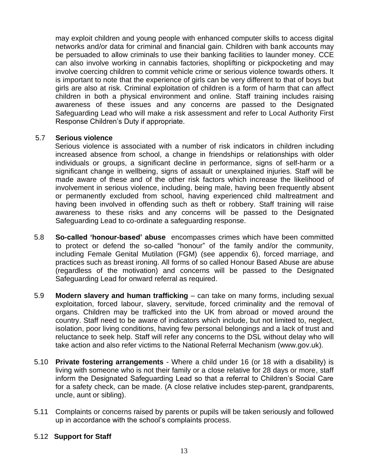may exploit children and young people with enhanced computer skills to access digital networks and/or data for criminal and financial gain. Children with bank accounts may be persuaded to allow criminals to use their banking facilities to launder money. CCE can also involve working in cannabis factories, shoplifting or pickpocketing and may involve coercing children to commit vehicle crime or serious violence towards others. It is important to note that the experience of girls can be very different to that of boys but girls are also at risk. Criminal exploitation of children is a form of harm that can affect children in both a physical environment and online. Staff training includes raising awareness of these issues and any concerns are passed to the Designated Safeguarding Lead who will make a risk assessment and refer to Local Authority First Response Children's Duty if appropriate.

#### 5.7 **Serious violence**

 Serious violence is associated with a number of risk indicators in children including increased absence from school, a change in friendships or relationships with older individuals or groups, a significant decline in performance, signs of self-harm or a significant change in wellbeing, signs of assault or unexplained injuries. Staff will be made aware of these and of the other risk factors which increase the likelihood of involvement in serious violence, including, being male, having been frequently absent or permanently excluded from school, having experienced child maltreatment and having been involved in offending such as theft or robbery. Staff training will raise awareness to these risks and any concerns will be passed to the Designated Safeguarding Lead to co-ordinate a safeguarding response.

- 5.8 **So-called 'honour-based' abuse** encompasses crimes which have been committed to protect or defend the so-called "honour" of the family and/or the community, including Female Genital Mutilation (FGM) (see appendix 6), forced marriage, and practices such as breast ironing. All forms of so called Honour Based Abuse are abuse (regardless of the motivation) and concerns will be passed to the Designated Safeguarding Lead for onward referral as required.
- 5.9 **Modern slavery and human trafficking** can take on many forms, including sexual exploitation, forced labour, slavery, servitude, forced criminality and the removal of organs. Children may be trafficked into the UK from abroad or moved around the country. Staff need to be aware of indicators which include, but not limited to, neglect, isolation, poor living conditions, having few personal belongings and a lack of trust and reluctance to seek help. Staff will refer any concerns to the DSL without delay who will take action and also refer victims to the National Referral Mechanism (www.gov.uk).
- 5.10 **Private fostering arrangements** Where a child under 16 (or 18 with a disability) is living with someone who is not their family or a close relative for 28 days or more, staff inform the Designated Safeguarding Lead so that a referral to Children's Social Care for a safety check, can be made. (A close relative includes step-parent, grandparents, uncle, aunt or sibling).
- 5.11 Complaints or concerns raised by parents or pupils will be taken seriously and followed up in accordance with the school's complaints process.

#### 5.12 **Support for Staff**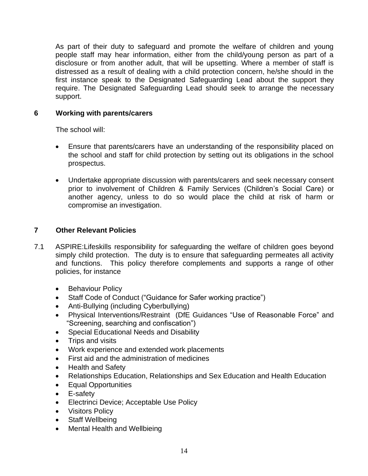As part of their duty to safeguard and promote the welfare of children and young people staff may hear information, either from the child/young person as part of a disclosure or from another adult, that will be upsetting. Where a member of staff is distressed as a result of dealing with a child protection concern, he/she should in the first instance speak to the Designated Safeguarding Lead about the support they require. The Designated Safeguarding Lead should seek to arrange the necessary support.

#### **6 Working with parents/carers**

The school will:

- Ensure that parents/carers have an understanding of the responsibility placed on the school and staff for child protection by setting out its obligations in the school prospectus.
- Undertake appropriate discussion with parents/carers and seek necessary consent prior to involvement of Children & Family Services (Children's Social Care) or another agency, unless to do so would place the child at risk of harm or compromise an investigation.

# **7 Other Relevant Policies**

- 7.1 ASPIRE:Lifeskills responsibility for safeguarding the welfare of children goes beyond simply child protection. The duty is to ensure that safeguarding permeates all activity and functions. This policy therefore complements and supports a range of other policies, for instance
	- Behaviour Policy
	- Staff Code of Conduct ("Guidance for Safer working practice")
	- Anti-Bullying (including Cyberbullying)
	- Physical Interventions/Restraint (DfE Guidances "Use of Reasonable Force" and "Screening, searching and confiscation")
	- Special Educational Needs and Disability
	- Trips and visits
	- Work experience and extended work placements
	- First aid and the administration of medicines
	- Health and Safety
	- Relationships Education, Relationships and Sex Education and Health Education
	- Equal Opportunities
	- E-safety
	- Electrinci Device; Acceptable Use Policy
	- Visitors Policy
	- Staff Wellbeing
	- Mental Health and Wellbieing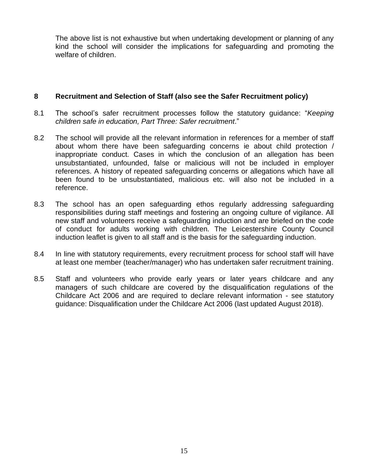The above list is not exhaustive but when undertaking development or planning of any kind the school will consider the implications for safeguarding and promoting the welfare of children.

#### **8 Recruitment and Selection of Staff (also see the Safer Recruitment policy)**

- 8.1 The school's safer recruitment processes follow the statutory guidance: "*Keeping children safe in education, Part Three: Safer recruitment*."
- 8.2 The school will provide all the relevant information in references for a member of staff about whom there have been safeguarding concerns ie about child protection / inappropriate conduct. Cases in which the conclusion of an allegation has been unsubstantiated, unfounded, false or malicious will not be included in employer references. A history of repeated safeguarding concerns or allegations which have all been found to be unsubstantiated, malicious etc. will also not be included in a reference.
- 8.3 The school has an open safeguarding ethos regularly addressing safeguarding responsibilities during staff meetings and fostering an ongoing culture of vigilance. All new staff and volunteers receive a safeguarding induction and are briefed on the code of conduct for adults working with children. The Leicestershire County Council induction leaflet is given to all staff and is the basis for the safeguarding induction.
- 8.4 In line with statutory requirements, every recruitment process for school staff will have at least one member (teacher/manager) who has undertaken safer recruitment training.
- 8.5 Staff and volunteers who provide early years or later years childcare and any managers of such childcare are covered by the disqualification regulations of the Childcare Act 2006 and are required to declare relevant information - see statutory guidance: Disqualification under the Childcare Act 2006 (last updated August 2018).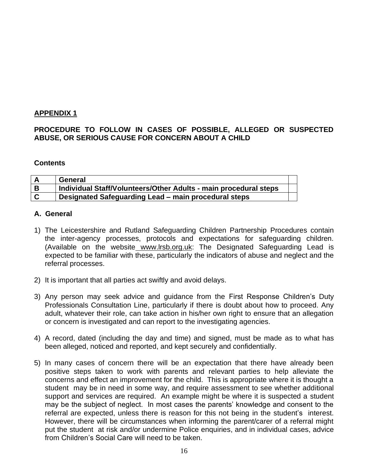#### **APPENDIX 1**

#### **PROCEDURE TO FOLLOW IN CASES OF POSSIBLE, ALLEGED OR SUSPECTED ABUSE, OR SERIOUS CAUSE FOR CONCERN ABOUT A CHILD**

#### **Contents**

|   | General                                                          |  |
|---|------------------------------------------------------------------|--|
|   | Individual Staff/Volunteers/Other Adults - main procedural steps |  |
| C | Designated Safeguarding Lead – main procedural steps             |  |

#### **A. General**

- 1) The Leicestershire and Rutland Safeguarding Children Partnership Procedures contain the inter-agency processes, protocols and expectations for safeguarding children. (Available on the website www.lrsb.org.uk: The Designated Safeguarding Lead is expected to be familiar with these, particularly the indicators of abuse and neglect and the referral processes.
- 2) It is important that all parties act swiftly and avoid delays.
- 3) Any person may seek advice and guidance from the First Response Children's Duty Professionals Consultation Line, particularly if there is doubt about how to proceed. Any adult, whatever their role, can take action in his/her own right to ensure that an allegation or concern is investigated and can report to the investigating agencies.
- 4) A record, dated (including the day and time) and signed, must be made as to what has been alleged, noticed and reported, and kept securely and confidentially.
- 5) In many cases of concern there will be an expectation that there have already been positive steps taken to work with parents and relevant parties to help alleviate the concerns and effect an improvement for the child. This is appropriate where it is thought a student may be in need in some way, and require assessment to see whether additional support and services are required. An example might be where it is suspected a student may be the subject of neglect. In most cases the parents' knowledge and consent to the referral are expected, unless there is reason for this not being in the student's interest. However, there will be circumstances when informing the parent/carer of a referral might put the student at risk and/or undermine Police enquiries, and in individual cases, advice from Children's Social Care will need to be taken.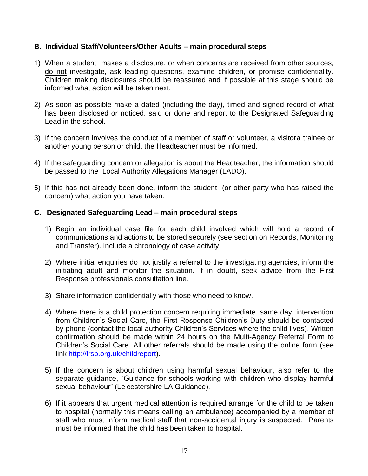#### **B. Individual Staff/Volunteers/Other Adults – main procedural steps**

- 1) When a student makes a disclosure, or when concerns are received from other sources, do not investigate, ask leading questions, examine children, or promise confidentiality. Children making disclosures should be reassured and if possible at this stage should be informed what action will be taken next.
- 2) As soon as possible make a dated (including the day), timed and signed record of what has been disclosed or noticed, said or done and report to the Designated Safeguarding Lead in the school.
- 3) If the concern involves the conduct of a member of staff or volunteer, a visitora trainee or another young person or child, the Headteacher must be informed.
- 4) If the safeguarding concern or allegation is about the Headteacher, the information should be passed to the Local Authority Allegations Manager (LADO).
- 5) If this has not already been done, inform the student (or other party who has raised the concern) what action you have taken.

#### **C. Designated Safeguarding Lead – main procedural steps**

- 1) Begin an individual case file for each child involved which will hold a record of communications and actions to be stored securely (see section on Records, Monitoring and Transfer). Include a chronology of case activity.
- 2) Where initial enquiries do not justify a referral to the investigating agencies, inform the initiating adult and monitor the situation. If in doubt, seek advice from the First Response professionals consultation line.
- 3) Share information confidentially with those who need to know.
- 4) Where there is a child protection concern requiring immediate, same day, intervention from Children's Social Care, the First Response Children's Duty should be contacted by phone (contact the local authority Children's Services where the child lives). Written confirmation should be made within 24 hours on the Multi-Agency Referral Form to Children's Social Care. All other referrals should be made using the online form (see link [http://lrsb.org.uk/childreport\)](http://lrsb.org.uk/childreport).
- 5) If the concern is about children using harmful sexual behaviour, also refer to the separate guidance, "Guidance for schools working with children who display harmful sexual behaviour" (Leicestershire LA Guidance).
- 6) If it appears that urgent medical attention is required arrange for the child to be taken to hospital (normally this means calling an ambulance) accompanied by a member of staff who must inform medical staff that non-accidental injury is suspected. Parents must be informed that the child has been taken to hospital.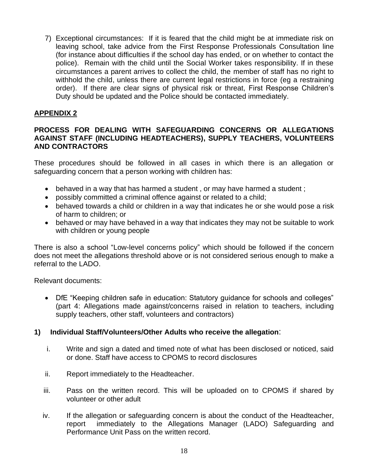7) Exceptional circumstances: If it is feared that the child might be at immediate risk on leaving school, take advice from the First Response Professionals Consultation line (for instance about difficulties if the school day has ended, or on whether to contact the police). Remain with the child until the Social Worker takes responsibility. If in these circumstances a parent arrives to collect the child, the member of staff has no right to withhold the child, unless there are current legal restrictions in force (eg a restraining order). If there are clear signs of physical risk or threat, First Response Children's Duty should be updated and the Police should be contacted immediately.

# **APPENDIX 2**

#### **PROCESS FOR DEALING WITH SAFEGUARDING CONCERNS OR ALLEGATIONS AGAINST STAFF (INCLUDING HEADTEACHERS), SUPPLY TEACHERS, VOLUNTEERS AND CONTRACTORS**

These procedures should be followed in all cases in which there is an allegation or safeguarding concern that a person working with children has:

- behaved in a way that has harmed a student, or may have harmed a student;
- possibly committed a criminal offence against or related to a child;
- behaved towards a child or children in a way that indicates he or she would pose a risk of harm to children; or
- behaved or may have behaved in a way that indicates they may not be suitable to work with children or young people

There is also a school "Low-level concerns policy" which should be followed if the concern does not meet the allegations threshold above or is not considered serious enough to make a referral to the LADO.

Relevant documents:

• DfE "Keeping children safe in education: Statutory guidance for schools and colleges" (part 4: Allegations made against/concerns raised in relation to teachers, including supply teachers, other staff, volunteers and contractors)

#### **1) Individual Staff/Volunteers/Other Adults who receive the allegation**:

- i. Write and sign a dated and timed note of what has been disclosed or noticed, said or done. Staff have access to CPOMS to record disclosures
- ii. Report immediately to the Headteacher.
- iii. Pass on the written record. This will be uploaded on to CPOMS if shared by volunteer or other adult
- iv. If the allegation or safeguarding concern is about the conduct of the Headteacher, report immediately to the Allegations Manager (LADO) Safeguarding and Performance Unit Pass on the written record.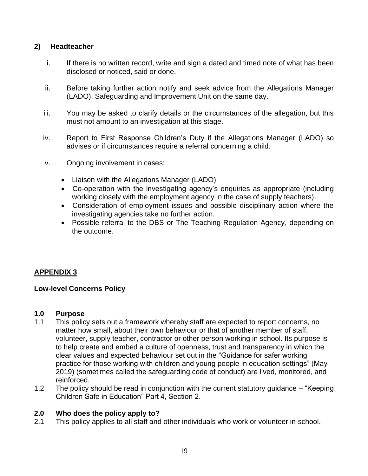# **2) Headteacher**

- i. If there is no written record, write and sign a dated and timed note of what has been disclosed or noticed, said or done.
- ii. Before taking further action notify and seek advice from the Allegations Manager (LADO), Safeguarding and Improvement Unit on the same day.
- iii. You may be asked to clarify details or the circumstances of the allegation, but this must not amount to an investigation at this stage.
- iv. Report to First Response Children's Duty if the Allegations Manager (LADO) so advises or if circumstances require a referral concerning a child.
- v. Ongoing involvement in cases:
	- Liaison with the Allegations Manager (LADO)
	- Co-operation with the investigating agency's enquiries as appropriate (including working closely with the employment agency in the case of supply teachers).
	- Consideration of employment issues and possible disciplinary action where the investigating agencies take no further action.
	- Possible referral to the DBS or The Teaching Regulation Agency, depending on the outcome.

# **APPENDIX 3**

# **Low-level Concerns Policy**

#### **1.0 Purpose**

- 1.1 This policy sets out a framework whereby staff are expected to report concerns, no matter how small, about their own behaviour or that of another member of staff, volunteer, supply teacher, contractor or other person working in school. Its purpose is to help create and embed a culture of openness, trust and transparency in which the clear values and expected behaviour set out in the "Guidance for safer working practice for those working with children and young people in education settings" (May 2019) (sometimes called the safeguarding code of conduct) are lived, monitored, and reinforced.
- 1.2 The policy should be read in conjunction with the current statutory guidance "Keeping Children Safe in Education" Part 4, Section 2.

# **2.0 Who does the policy apply to?**

2.1 This policy applies to all staff and other individuals who work or volunteer in school.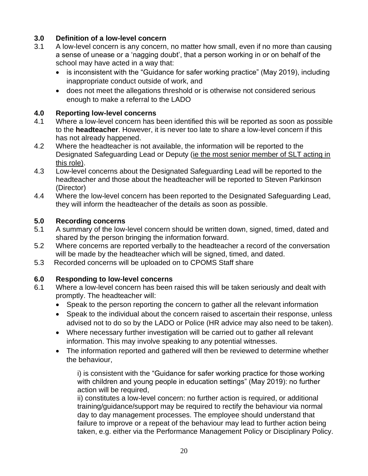# **3.0 Definition of a low-level concern**

- 3.1 A low-level concern is any concern, no matter how small, even if no more than causing a sense of unease or a 'nagging doubt', that a person working in or on behalf of the school may have acted in a way that:
	- is inconsistent with the "Guidance for safer working practice" (May 2019), including inappropriate conduct outside of work, and
	- does not meet the allegations threshold or is otherwise not considered serious enough to make a referral to the LADO

# **4.0 Reporting low-level concerns**

- 4.1 Where a low-level concern has been identified this will be reported as soon as possible to the **headteacher**. However, it is never too late to share a low-level concern if this has not already happened.
- 4.2 Where the headteacher is not available, the information will be reported to the Designated Safeguarding Lead or Deputy (ie the most senior member of SLT acting in this role).
- 4.3 Low-level concerns about the Designated Safeguarding Lead will be reported to the headteacher and those about the headteacher will be reported to Steven Parkinson (Director)
- 4.4 Where the low-level concern has been reported to the Designated Safeguarding Lead, they will inform the headteacher of the details as soon as possible.

# **5.0 Recording concerns**

- 5.1 A summary of the low-level concern should be written down, signed, timed, dated and shared by the person bringing the information forward.
- 5.2 Where concerns are reported verbally to the headteacher a record of the conversation will be made by the headteacher which will be signed, timed, and dated.
- 5.3 Recorded concerns will be uploaded on to CPOMS Staff share

# **6.0 Responding to low-level concerns**

- 6.1 Where a low-level concern has been raised this will be taken seriously and dealt with promptly. The headteacher will:
	- Speak to the person reporting the concern to gather all the relevant information
	- Speak to the individual about the concern raised to ascertain their response, unless advised not to do so by the LADO or Police (HR advice may also need to be taken).
	- Where necessary further investigation will be carried out to gather all relevant information. This may involve speaking to any potential witnesses.
	- The information reported and gathered will then be reviewed to determine whether the behaviour,

i) is consistent with the "Guidance for safer working practice for those working with children and young people in education settings" (May 2019): no further action will be required,

ii) constitutes a low-level concern: no further action is required, or additional training/guidance/support may be required to rectify the behaviour via normal day to day management processes. The employee should understand that failure to improve or a repeat of the behaviour may lead to further action being taken, e.g. either via the Performance Management Policy or Disciplinary Policy.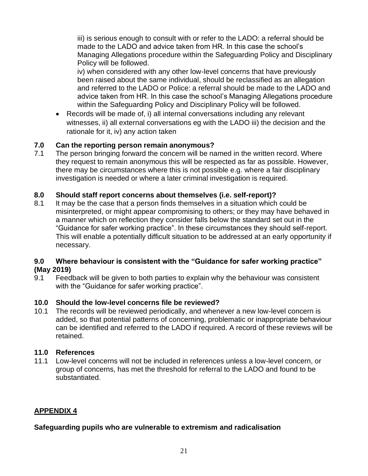iii) is serious enough to consult with or refer to the LADO: a referral should be made to the LADO and advice taken from HR. In this case the school's Managing Allegations procedure within the Safeguarding Policy and Disciplinary Policy will be followed.

iv) when considered with any other low-level concerns that have previously been raised about the same individual, should be reclassified as an allegation and referred to the LADO or Police: a referral should be made to the LADO and advice taken from HR. In this case the school's Managing Allegations procedure within the Safeguarding Policy and Disciplinary Policy will be followed.

• Records will be made of, i) all internal conversations including any relevant witnesses, ii) all external conversations eg with the LADO iii) the decision and the rationale for it, iv) any action taken

# **7.0 Can the reporting person remain anonymous?**

7.1 The person bringing forward the concern will be named in the written record. Where they request to remain anonymous this will be respected as far as possible. However, there may be circumstances where this is not possible e.g. where a fair disciplinary investigation is needed or where a later criminal investigation is required.

# **8.0 Should staff report concerns about themselves (i.e. self-report)?**

8.1 It may be the case that a person finds themselves in a situation which could be misinterpreted, or might appear compromising to others; or they may have behaved in a manner which on reflection they consider falls below the standard set out in the "Guidance for safer working practice". In these circumstances they should self-report. This will enable a potentially difficult situation to be addressed at an early opportunity if necessary.

#### **9.0 Where behaviour is consistent with the "Guidance for safer working practice" (May 2019)**

9.1 Feedback will be given to both parties to explain why the behaviour was consistent with the "Guidance for safer working practice".

# **10.0 Should the low-level concerns file be reviewed?**

10.1 The records will be reviewed periodically, and whenever a new low-level concern is added, so that potential patterns of concerning, problematic or inappropriate behaviour can be identified and referred to the LADO if required. A record of these reviews will be retained.

#### **11.0 References**

11.1 Low-level concerns will not be included in references unless a low-level concern, or group of concerns, has met the threshold for referral to the LADO and found to be substantiated.

# **APPENDIX 4**

#### **Safeguarding pupils who are vulnerable to extremism and radicalisation**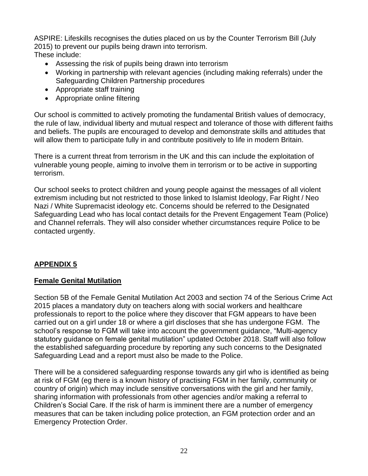ASPIRE: Lifeskills recognises the duties placed on us by the Counter Terrorism Bill (July 2015) to prevent our pupils being drawn into terrorism. These include:

- Assessing the risk of pupils being drawn into terrorism
- Working in partnership with relevant agencies (including making referrals) under the Safeguarding Children Partnership procedures
- Appropriate staff training
- Appropriate online filtering

Our school is committed to actively promoting the fundamental British values of democracy, the rule of law, individual liberty and mutual respect and tolerance of those with different faiths and beliefs. The pupils are encouraged to develop and demonstrate skills and attitudes that will allow them to participate fully in and contribute positively to life in modern Britain.

There is a current threat from terrorism in the UK and this can include the exploitation of vulnerable young people, aiming to involve them in terrorism or to be active in supporting terrorism.

Our school seeks to protect children and young people against the messages of all violent extremism including but not restricted to those linked to Islamist Ideology, Far Right / Neo Nazi / White Supremacist ideology etc. Concerns should be referred to the Designated Safeguarding Lead who has local contact details for the Prevent Engagement Team (Police) and Channel referrals. They will also consider whether circumstances require Police to be contacted urgently.

# **APPENDIX 5**

#### **Female Genital Mutilation**

Section 5B of the Female Genital Mutilation Act 2003 and section 74 of the Serious Crime Act 2015 places a mandatory duty on teachers along with social workers and healthcare professionals to report to the police where they discover that FGM appears to have been carried out on a girl under 18 or where a girl discloses that she has undergone FGM. The school's response to FGM will take into account the government guidance, "Multi-agency statutory guidance on female genital mutilation" updated October 2018. Staff will also follow the established safeguarding procedure by reporting any such concerns to the Designated Safeguarding Lead and a report must also be made to the Police.

There will be a considered safeguarding response towards any girl who is identified as being at risk of FGM (eg there is a known history of practising FGM in her family, community or country of origin) which may include sensitive conversations with the girl and her family, sharing information with professionals from other agencies and/or making a referral to Children's Social Care. If the risk of harm is imminent there are a number of emergency measures that can be taken including police protection, an FGM protection order and an Emergency Protection Order.